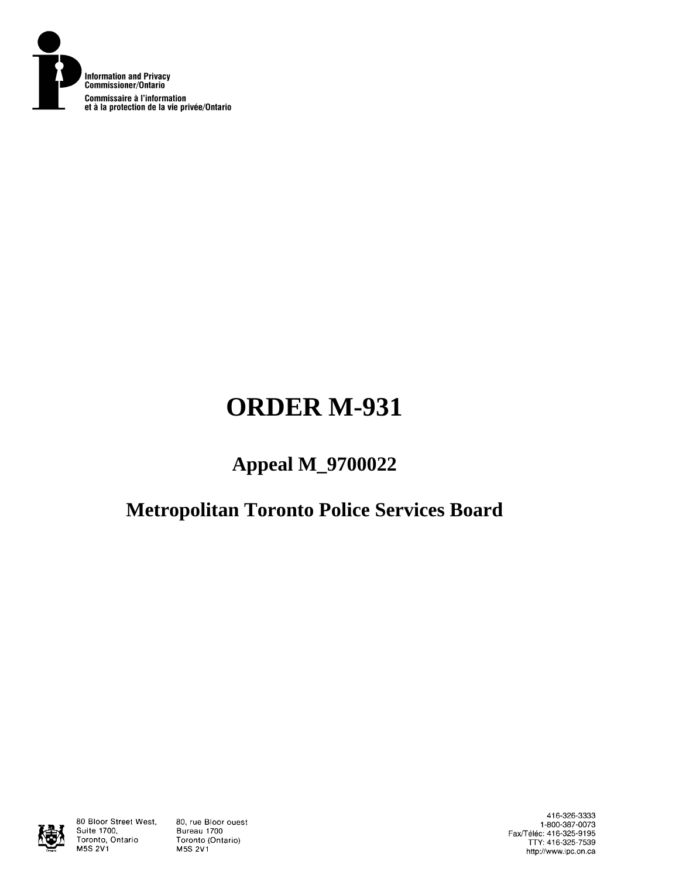

# **ORDER M-931**

# **Appeal M\_9700022**

# **Metropolitan Toronto Police Services Board**



80 Bloor Street West, Suite 1700, Toronto, Ontario M5S 2V1

80, rue Bloor ouest Bureau 1700 Toronto (Ontario) M5S 2V1

416-326-3333 1-800-387-0073 Fax/Téléc: 416-325-9195<br>TTY: 416-325-7539 http://www.ipc.on.ca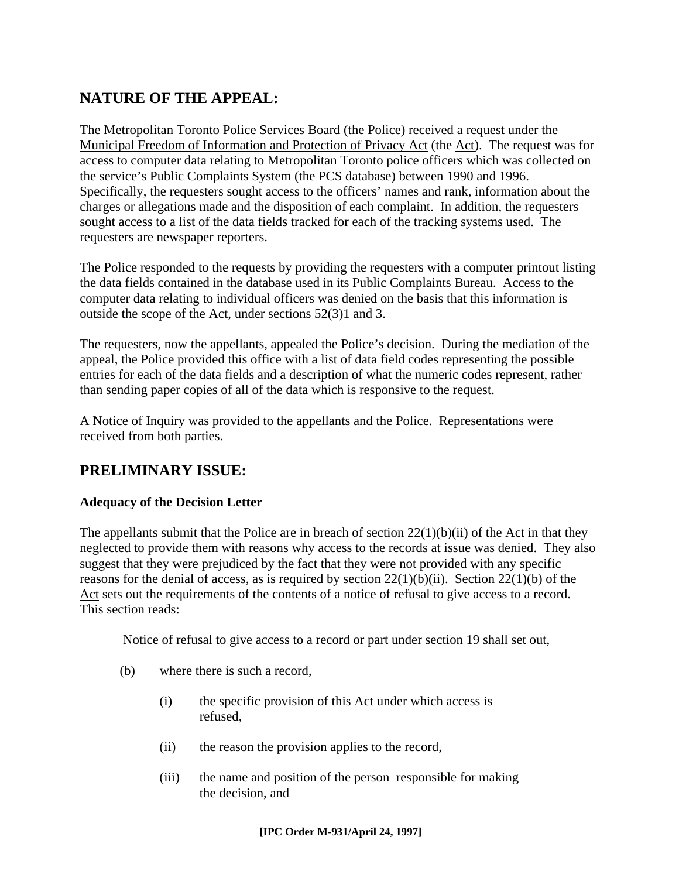## **NATURE OF THE APPEAL:**

The Metropolitan Toronto Police Services Board (the Police) received a request under the Municipal Freedom of Information and Protection of Privacy Act (the Act). The request was for access to computer data relating to Metropolitan Toronto police officers which was collected on the service's Public Complaints System (the PCS database) between 1990 and 1996. Specifically, the requesters sought access to the officers' names and rank, information about the charges or allegations made and the disposition of each complaint. In addition, the requesters sought access to a list of the data fields tracked for each of the tracking systems used. The requesters are newspaper reporters.

The Police responded to the requests by providing the requesters with a computer printout listing the data fields contained in the database used in its Public Complaints Bureau. Access to the computer data relating to individual officers was denied on the basis that this information is outside the scope of the Act, under sections 52(3)1 and 3.

The requesters, now the appellants, appealed the Police's decision. During the mediation of the appeal, the Police provided this office with a list of data field codes representing the possible entries for each of the data fields and a description of what the numeric codes represent, rather than sending paper copies of all of the data which is responsive to the request.

A Notice of Inquiry was provided to the appellants and the Police. Representations were received from both parties.

## **PRELIMINARY ISSUE:**

#### **Adequacy of the Decision Letter**

The appellants submit that the Police are in breach of section  $22(1)(b)(ii)$  of the Act in that they neglected to provide them with reasons why access to the records at issue was denied. They also suggest that they were prejudiced by the fact that they were not provided with any specific reasons for the denial of access, as is required by section  $22(1)(b)(ii)$ . Section  $22(1)(b)$  of the Act sets out the requirements of the contents of a notice of refusal to give access to a record. This section reads:

Notice of refusal to give access to a record or part under section 19 shall set out,

- (b) where there is such a record,
	- (i) the specific provision of this Act under which access is refused,
	- (ii) the reason the provision applies to the record,
	- (iii) the name and position of the person responsible for making the decision, and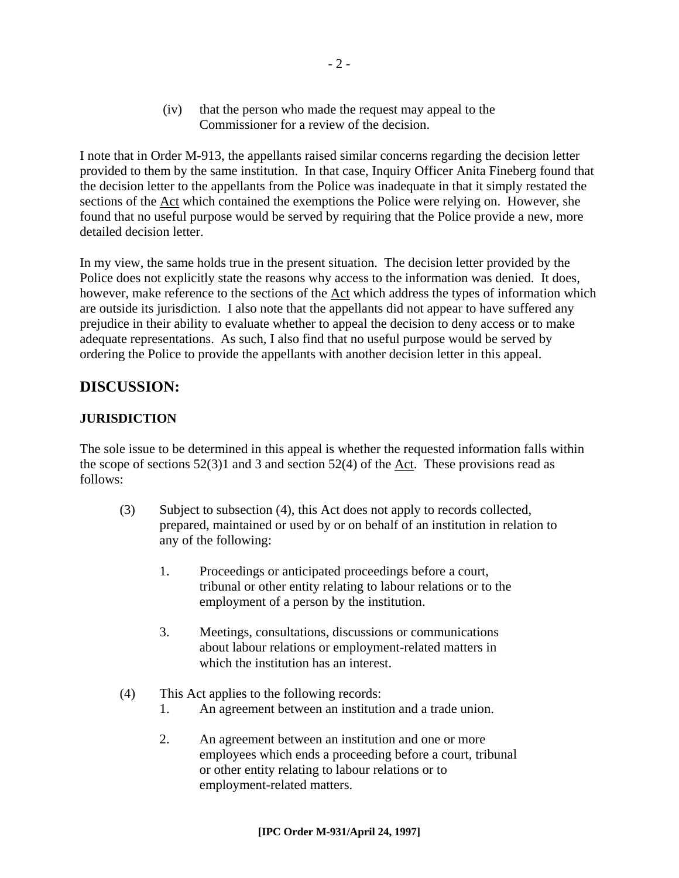(iv) that the person who made the request may appeal to the Commissioner for a review of the decision.

I note that in Order M-913, the appellants raised similar concerns regarding the decision letter provided to them by the same institution. In that case, Inquiry Officer Anita Fineberg found that the decision letter to the appellants from the Police was inadequate in that it simply restated the sections of the Act which contained the exemptions the Police were relying on. However, she found that no useful purpose would be served by requiring that the Police provide a new, more detailed decision letter.

In my view, the same holds true in the present situation. The decision letter provided by the Police does not explicitly state the reasons why access to the information was denied. It does, however, make reference to the sections of the Act which address the types of information which are outside its jurisdiction. I also note that the appellants did not appear to have suffered any prejudice in their ability to evaluate whether to appeal the decision to deny access or to make adequate representations. As such, I also find that no useful purpose would be served by ordering the Police to provide the appellants with another decision letter in this appeal.

### **DISCUSSION:**

#### **JURISDICTION**

The sole issue to be determined in this appeal is whether the requested information falls within the scope of sections 52(3)1 and 3 and section 52(4) of the Act. These provisions read as follows:

- (3) Subject to subsection (4), this Act does not apply to records collected, prepared, maintained or used by or on behalf of an institution in relation to any of the following:
	- 1. Proceedings or anticipated proceedings before a court, tribunal or other entity relating to labour relations or to the employment of a person by the institution.
	- 3. Meetings, consultations, discussions or communications about labour relations or employment-related matters in which the institution has an interest.
- (4) This Act applies to the following records:
	- 1. An agreement between an institution and a trade union.
	- 2. An agreement between an institution and one or more employees which ends a proceeding before a court, tribunal or other entity relating to labour relations or to employment-related matters.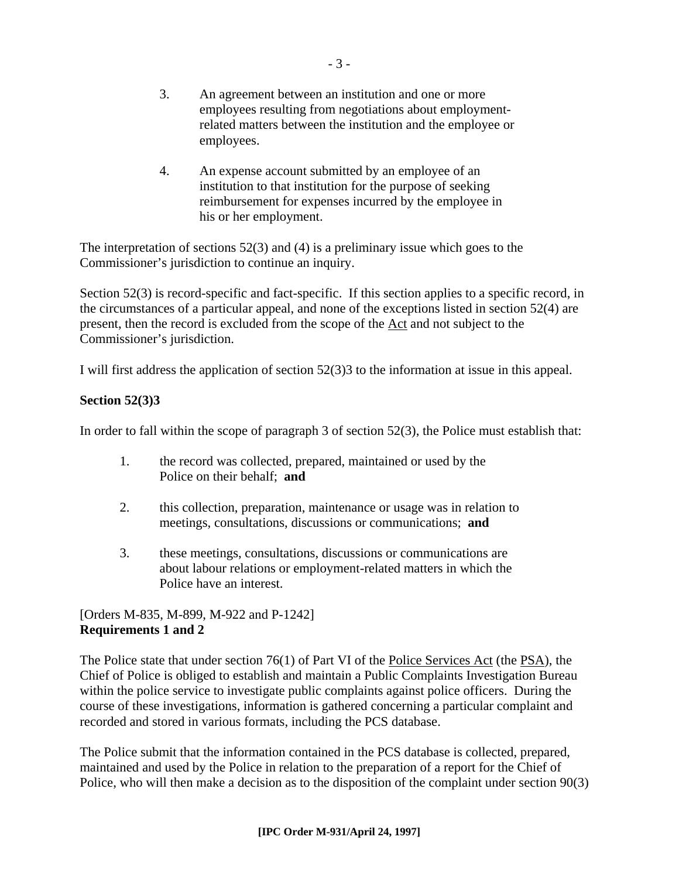- 3. An agreement between an institution and one or more employees resulting from negotiations about employmentrelated matters between the institution and the employee or employees.
- 4. An expense account submitted by an employee of an institution to that institution for the purpose of seeking reimbursement for expenses incurred by the employee in his or her employment.

The interpretation of sections 52(3) and (4) is a preliminary issue which goes to the Commissioner's jurisdiction to continue an inquiry.

Section 52(3) is record-specific and fact-specific. If this section applies to a specific record, in the circumstances of a particular appeal, and none of the exceptions listed in section 52(4) are present, then the record is excluded from the scope of the Act and not subject to the Commissioner's jurisdiction.

I will first address the application of section 52(3)3 to the information at issue in this appeal.

#### **Section 52(3)3**

In order to fall within the scope of paragraph 3 of section 52(3), the Police must establish that:

- 1. the record was collected, prepared, maintained or used by the Police on their behalf; **and**
- 2. this collection, preparation, maintenance or usage was in relation to meetings, consultations, discussions or communications; **and**
- 3. these meetings, consultations, discussions or communications are about labour relations or employment-related matters in which the Police have an interest.

#### [Orders M-835, M-899, M-922 and P-1242] **Requirements 1 and 2**

The Police state that under section 76(1) of Part VI of the Police Services Act (the PSA), the Chief of Police is obliged to establish and maintain a Public Complaints Investigation Bureau within the police service to investigate public complaints against police officers. During the course of these investigations, information is gathered concerning a particular complaint and recorded and stored in various formats, including the PCS database.

The Police submit that the information contained in the PCS database is collected, prepared, maintained and used by the Police in relation to the preparation of a report for the Chief of Police, who will then make a decision as to the disposition of the complaint under section 90(3)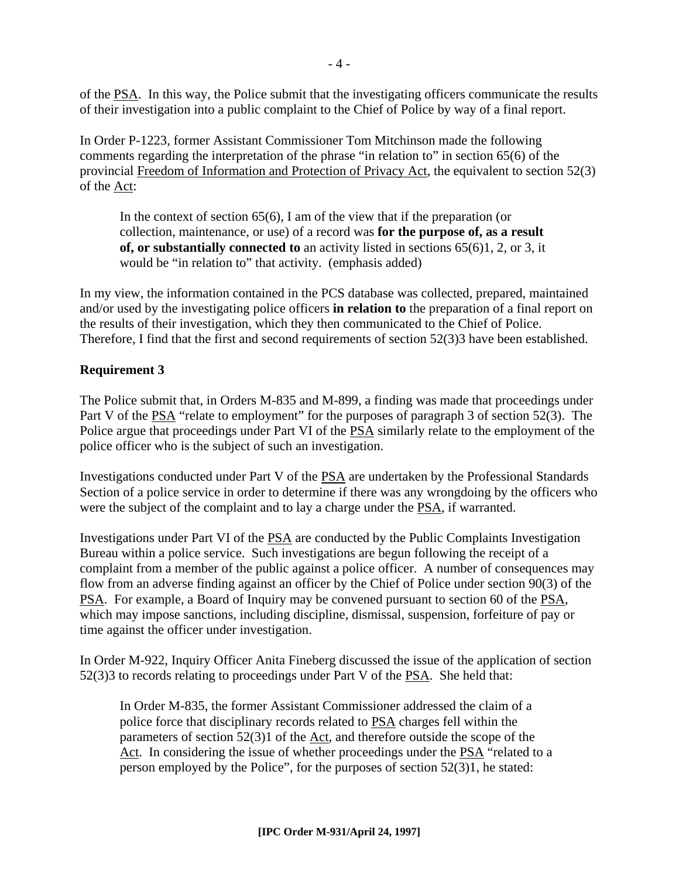of the PSA. In this way, the Police submit that the investigating officers communicate the results of their investigation into a public complaint to the Chief of Police by way of a final report.

In Order P-1223, former Assistant Commissioner Tom Mitchinson made the following comments regarding the interpretation of the phrase "in relation to" in section 65(6) of the provincial Freedom of Information and Protection of Privacy Act, the equivalent to section 52(3) of the Act:

In the context of section 65(6), I am of the view that if the preparation (or collection, maintenance, or use) of a record was **for the purpose of, as a result of, or substantially connected to** an activity listed in sections 65(6)1, 2, or 3, it would be "in relation to" that activity. (emphasis added)

In my view, the information contained in the PCS database was collected, prepared, maintained and/or used by the investigating police officers **in relation to** the preparation of a final report on the results of their investigation, which they then communicated to the Chief of Police. Therefore, I find that the first and second requirements of section 52(3)3 have been established.

#### **Requirement 3**

The Police submit that, in Orders M-835 and M-899, a finding was made that proceedings under Part V of the PSA "relate to employment" for the purposes of paragraph 3 of section 52(3). The Police argue that proceedings under Part VI of the PSA similarly relate to the employment of the police officer who is the subject of such an investigation.

Investigations conducted under Part V of the PSA are undertaken by the Professional Standards Section of a police service in order to determine if there was any wrongdoing by the officers who were the subject of the complaint and to lay a charge under the PSA, if warranted.

Investigations under Part VI of the PSA are conducted by the Public Complaints Investigation Bureau within a police service. Such investigations are begun following the receipt of a complaint from a member of the public against a police officer. A number of consequences may flow from an adverse finding against an officer by the Chief of Police under section 90(3) of the PSA. For example, a Board of Inquiry may be convened pursuant to section 60 of the PSA, which may impose sanctions, including discipline, dismissal, suspension, forfeiture of pay or time against the officer under investigation.

In Order M-922, Inquiry Officer Anita Fineberg discussed the issue of the application of section 52(3)3 to records relating to proceedings under Part V of the PSA. She held that:

In Order M-835, the former Assistant Commissioner addressed the claim of a police force that disciplinary records related to PSA charges fell within the parameters of section 52(3)1 of the Act, and therefore outside the scope of the Act. In considering the issue of whether proceedings under the PSA "related to a person employed by the Police", for the purposes of section  $52(3)1$ , he stated: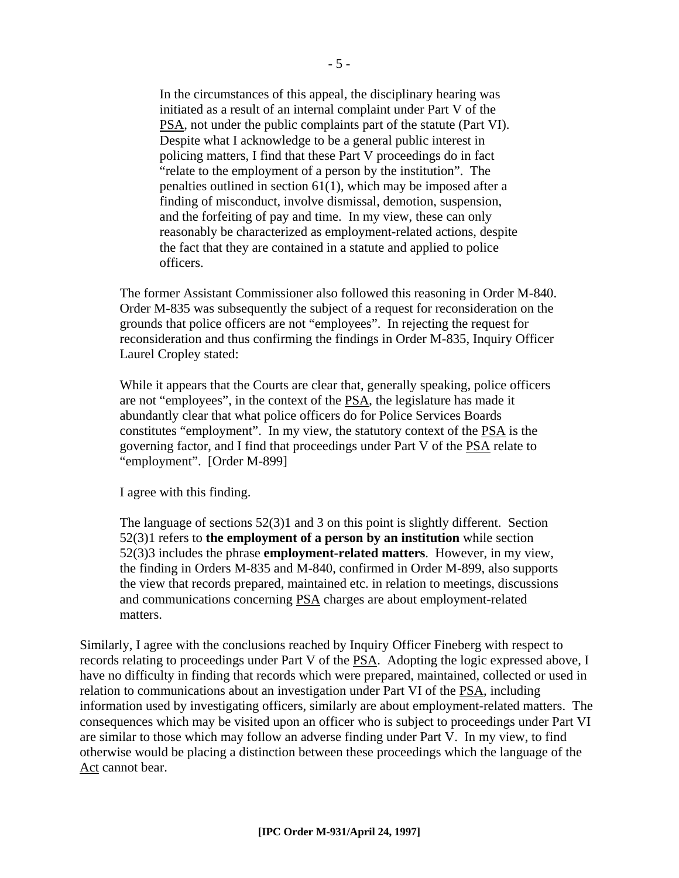In the circumstances of this appeal, the disciplinary hearing was initiated as a result of an internal complaint under Part V of the PSA, not under the public complaints part of the statute (Part VI). Despite what I acknowledge to be a general public interest in policing matters, I find that these Part V proceedings do in fact "relate to the employment of a person by the institution". The penalties outlined in section 61(1), which may be imposed after a finding of misconduct, involve dismissal, demotion, suspension, and the forfeiting of pay and time. In my view, these can only reasonably be characterized as employment-related actions, despite the fact that they are contained in a statute and applied to police officers.

The former Assistant Commissioner also followed this reasoning in Order M-840. Order M-835 was subsequently the subject of a request for reconsideration on the grounds that police officers are not "employees". In rejecting the request for reconsideration and thus confirming the findings in Order M-835, Inquiry Officer Laurel Cropley stated:

While it appears that the Courts are clear that, generally speaking, police officers are not "employees", in the context of the PSA, the legislature has made it abundantly clear that what police officers do for Police Services Boards constitutes "employment". In my view, the statutory context of the PSA is the governing factor, and I find that proceedings under Part V of the PSA relate to "employment". [Order M-899]

I agree with this finding.

The language of sections 52(3)1 and 3 on this point is slightly different. Section 52(3)1 refers to **the employment of a person by an institution** while section 52(3)3 includes the phrase **employment-related matters**. However, in my view, the finding in Orders M-835 and M-840, confirmed in Order M-899, also supports the view that records prepared, maintained etc. in relation to meetings, discussions and communications concerning PSA charges are about employment-related matters.

Similarly, I agree with the conclusions reached by Inquiry Officer Fineberg with respect to records relating to proceedings under Part V of the PSA. Adopting the logic expressed above, I have no difficulty in finding that records which were prepared, maintained, collected or used in relation to communications about an investigation under Part VI of the PSA, including information used by investigating officers, similarly are about employment-related matters. The consequences which may be visited upon an officer who is subject to proceedings under Part VI are similar to those which may follow an adverse finding under Part V. In my view, to find otherwise would be placing a distinction between these proceedings which the language of the Act cannot bear.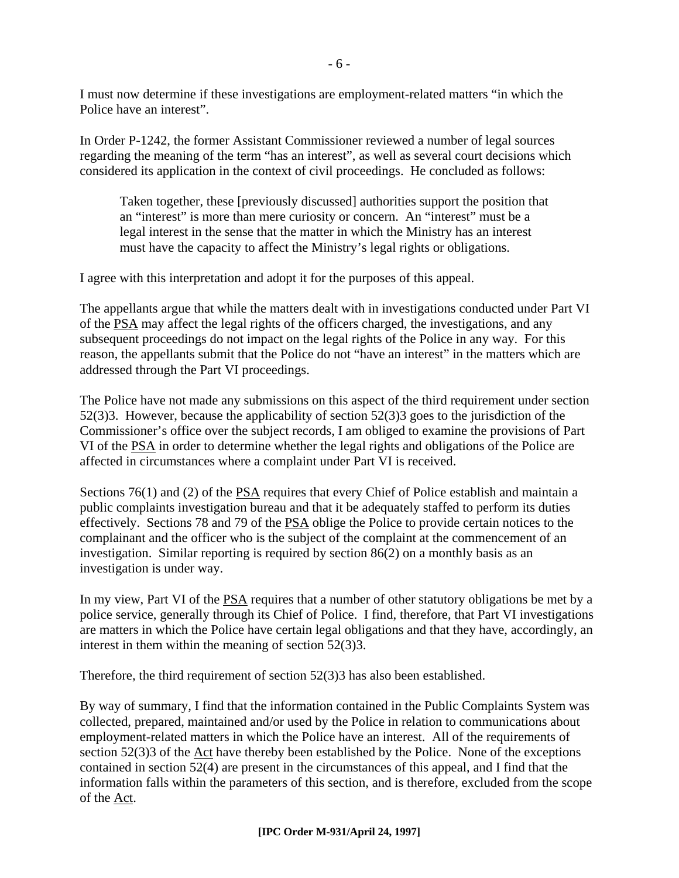I must now determine if these investigations are employment-related matters "in which the Police have an interest".

In Order P-1242, the former Assistant Commissioner reviewed a number of legal sources regarding the meaning of the term "has an interest", as well as several court decisions which considered its application in the context of civil proceedings. He concluded as follows:

Taken together, these [previously discussed] authorities support the position that an "interest" is more than mere curiosity or concern. An "interest" must be a legal interest in the sense that the matter in which the Ministry has an interest must have the capacity to affect the Ministry's legal rights or obligations.

I agree with this interpretation and adopt it for the purposes of this appeal.

The appellants argue that while the matters dealt with in investigations conducted under Part VI of the PSA may affect the legal rights of the officers charged, the investigations, and any subsequent proceedings do not impact on the legal rights of the Police in any way. For this reason, the appellants submit that the Police do not "have an interest" in the matters which are addressed through the Part VI proceedings.

The Police have not made any submissions on this aspect of the third requirement under section 52(3)3. However, because the applicability of section 52(3)3 goes to the jurisdiction of the Commissioner's office over the subject records, I am obliged to examine the provisions of Part VI of the PSA in order to determine whether the legal rights and obligations of the Police are affected in circumstances where a complaint under Part VI is received.

Sections 76(1) and (2) of the PSA requires that every Chief of Police establish and maintain a public complaints investigation bureau and that it be adequately staffed to perform its duties effectively. Sections 78 and 79 of the PSA oblige the Police to provide certain notices to the complainant and the officer who is the subject of the complaint at the commencement of an investigation. Similar reporting is required by section 86(2) on a monthly basis as an investigation is under way.

In my view, Part VI of the PSA requires that a number of other statutory obligations be met by a police service, generally through its Chief of Police. I find, therefore, that Part VI investigations are matters in which the Police have certain legal obligations and that they have, accordingly, an interest in them within the meaning of section 52(3)3.

Therefore, the third requirement of section 52(3)3 has also been established.

By way of summary, I find that the information contained in the Public Complaints System was collected, prepared, maintained and/or used by the Police in relation to communications about employment-related matters in which the Police have an interest. All of the requirements of section 52(3)3 of the Act have thereby been established by the Police. None of the exceptions contained in section 52(4) are present in the circumstances of this appeal, and I find that the information falls within the parameters of this section, and is therefore, excluded from the scope of the Act.